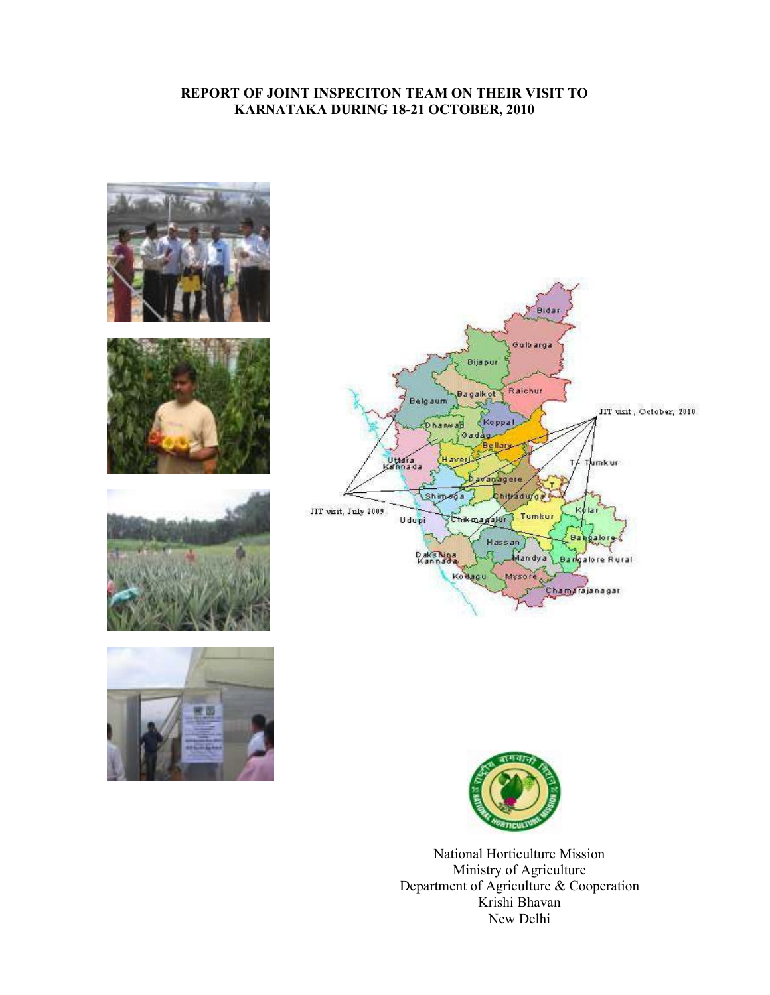## REPORT OF JOINT INSPECITON TEAM ON THEIR VISIT TO KARNATAKA DURING 18-21 OCTOBER, 2010













National Horticulture Mission Ministry of Agriculture Department of Agriculture & Cooperation Krishi Bhavan New Delhi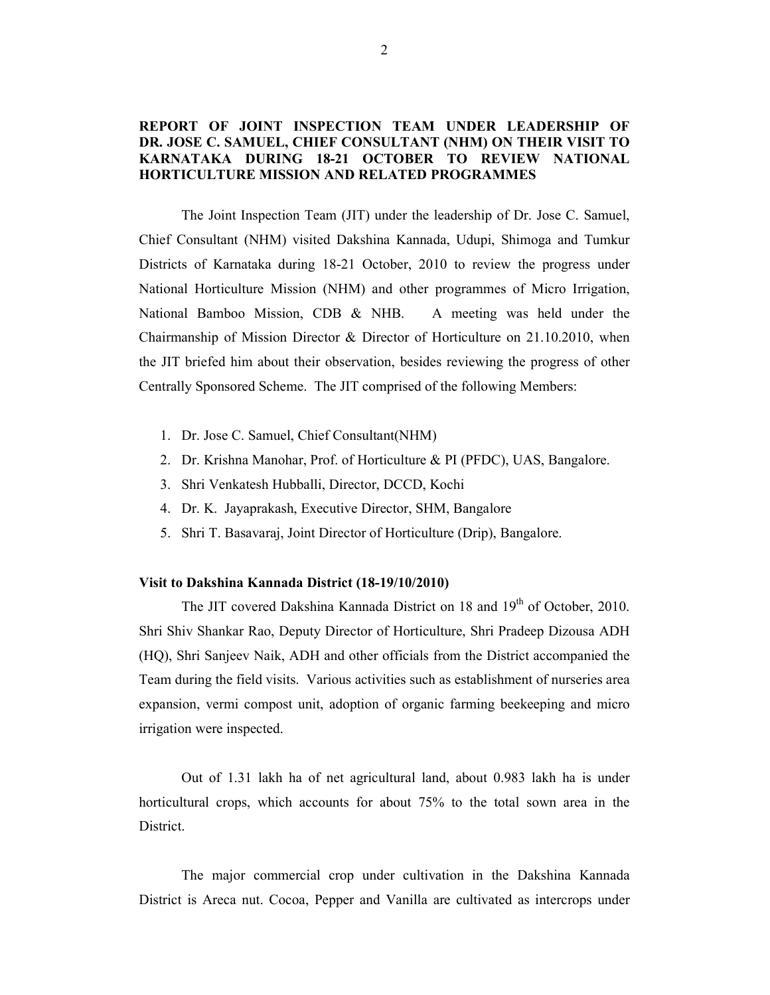## REPORT OF JOINT INSPECTION TEAM UNDER LEADERSHIP OF DR. JOSE C. SAMUEL, CHIEF CONSULTANT (NHM) ON THEIR VISIT TO KARNATAKA DURING 18-21 OCTOBER TO REVIEW NATIONAL HORTICULTURE MISSION AND RELATED PROGRAMMES

 The Joint Inspection Team (JIT) under the leadership of Dr. Jose C. Samuel, Chief Consultant (NHM) visited Dakshina Kannada, Udupi, Shimoga and Tumkur Districts of Karnataka during 18-21 October, 2010 to review the progress under National Horticulture Mission (NHM) and other programmes of Micro Irrigation, National Bamboo Mission, CDB & NHB. A meeting was held under the Chairmanship of Mission Director & Director of Horticulture on 21.10.2010, when the JIT briefed him about their observation, besides reviewing the progress of other Centrally Sponsored Scheme. The JIT comprised of the following Members:

- 1. Dr. Jose C. Samuel, Chief Consultant(NHM)
- 2. Dr. Krishna Manohar, Prof. of Horticulture & PI (PFDC), UAS, Bangalore.
- 3. Shri Venkatesh Hubballi, Director, DCCD, Kochi
- 4. Dr. K. Jayaprakash, Executive Director, SHM, Bangalore
- 5. Shri T. Basavaraj, Joint Director of Horticulture (Drip), Bangalore.

### Visit to Dakshina Kannada District (18-19/10/2010)

The JIT covered Dakshina Kannada District on 18 and 19<sup>th</sup> of October, 2010. Shri Shiv Shankar Rao, Deputy Director of Horticulture, Shri Pradeep Dizousa ADH (HQ), Shri Sanjeev Naik, ADH and other officials from the District accompanied the Team during the field visits. Various activities such as establishment of nurseries area expansion, vermi compost unit, adoption of organic farming beekeeping and micro irrigation were inspected.

Out of 1.31 lakh ha of net agricultural land, about 0.983 lakh ha is under horticultural crops, which accounts for about 75% to the total sown area in the **District** 

The major commercial crop under cultivation in the Dakshina Kannada District is Areca nut. Cocoa, Pepper and Vanilla are cultivated as intercrops under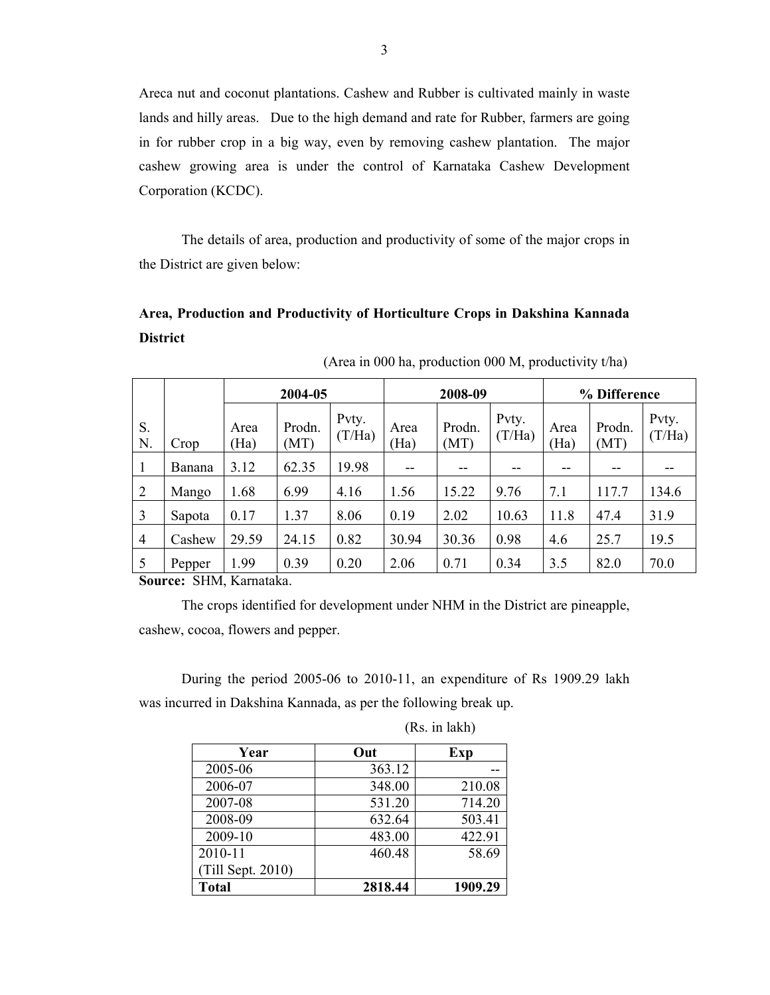Areca nut and coconut plantations. Cashew and Rubber is cultivated mainly in waste lands and hilly areas. Due to the high demand and rate for Rubber, farmers are going in for rubber crop in a big way, even by removing cashew plantation. The major cashew growing area is under the control of Karnataka Cashew Development Corporation (KCDC).

The details of area, production and productivity of some of the major crops in the District are given below:

# Area, Production and Productivity of Horticulture Crops in Dakshina Kannada **District**

|                |        | 2004-05      |                |                 |              | 2008-09        |                 |              | % Difference   |                 |  |
|----------------|--------|--------------|----------------|-----------------|--------------|----------------|-----------------|--------------|----------------|-----------------|--|
| S.<br>N.       | Crop   | Area<br>(Ha) | Prodn.<br>(MT) | Pvty.<br>(T/Ha) | Area<br>(Ha) | Prodn.<br>(MT) | Pvty.<br>(T/Ha) | Area<br>(Ha) | Prodn.<br>(MT) | Pvty.<br>(T/Ha) |  |
|                | Banana | 3.12         | 62.35          | 19.98           | $- -$        | --             |                 | --           |                |                 |  |
| $\overline{2}$ | Mango  | 1.68         | 6.99           | 4.16            | 1.56         | 15.22          | 9.76            | 7.1          | 117.7          | 134.6           |  |
| 3              | Sapota | 0.17         | 1.37           | 8.06            | 0.19         | 2.02           | 10.63           | 11.8         | 47.4           | 31.9            |  |
| 4              | Cashew | 29.59        | 24.15          | 0.82            | 30.94        | 30.36          | 0.98            | 4.6          | 25.7           | 19.5            |  |
| 5              | Pepper | 1.99         | 0.39           | 0.20            | 2.06         | 0.71           | 0.34            | 3.5          | 82.0           | 70.0            |  |

(Area in 000 ha, production 000 M, productivity t/ha)

Source: SHM, Karnataka.

The crops identified for development under NHM in the District are pineapple, cashew, cocoa, flowers and pepper.

During the period 2005-06 to 2010-11, an expenditure of Rs 1909.29 lakh was incurred in Dakshina Kannada, as per the following break up.

| Year              | Out     | Exp     |
|-------------------|---------|---------|
| 2005-06           | 363.12  |         |
| 2006-07           | 348.00  | 210.08  |
| 2007-08           | 531.20  | 714.20  |
| 2008-09           | 632.64  | 503.41  |
| 2009-10           | 483.00  | 422.91  |
| 2010-11           | 460.48  | 58.69   |
| (Till Sept. 2010) |         |         |
| <b>Total</b>      | 2818.44 | 1909.29 |

(Rs. in lakh)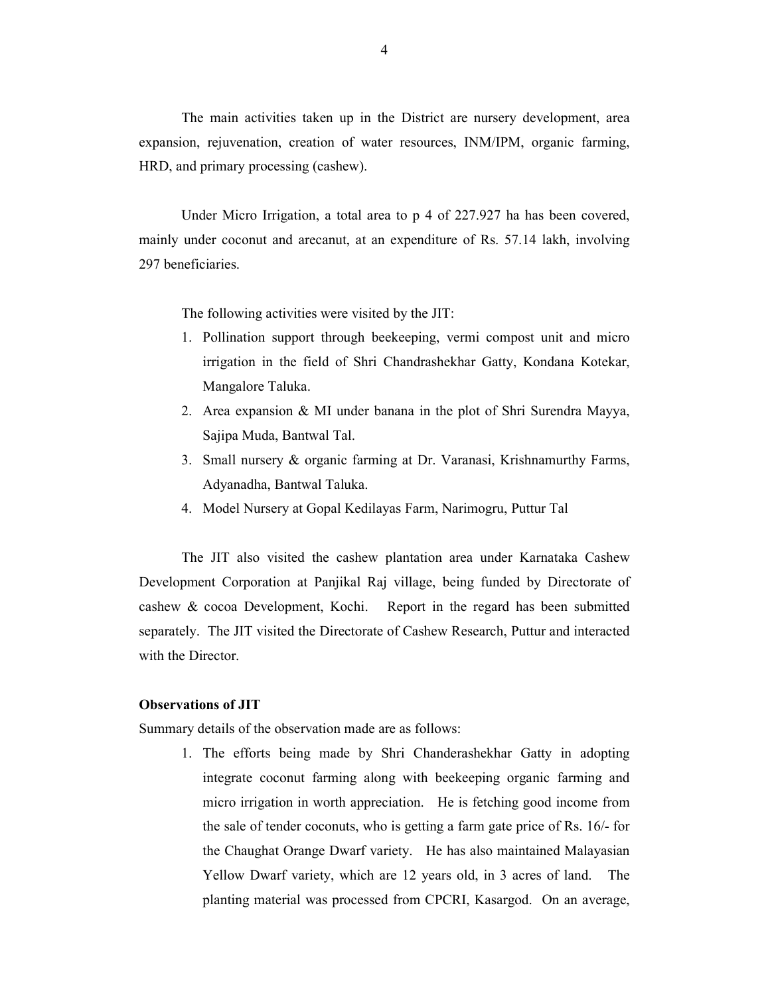The main activities taken up in the District are nursery development, area expansion, rejuvenation, creation of water resources, INM/IPM, organic farming, HRD, and primary processing (cashew).

 Under Micro Irrigation, a total area to p 4 of 227.927 ha has been covered, mainly under coconut and arecanut, at an expenditure of Rs. 57.14 lakh, involving 297 beneficiaries.

The following activities were visited by the JIT:

- 1. Pollination support through beekeeping, vermi compost unit and micro irrigation in the field of Shri Chandrashekhar Gatty, Kondana Kotekar, Mangalore Taluka.
- 2. Area expansion & MI under banana in the plot of Shri Surendra Mayya, Sajipa Muda, Bantwal Tal.
- 3. Small nursery & organic farming at Dr. Varanasi, Krishnamurthy Farms, Adyanadha, Bantwal Taluka.
- 4. Model Nursery at Gopal Kedilayas Farm, Narimogru, Puttur Tal

 The JIT also visited the cashew plantation area under Karnataka Cashew Development Corporation at Panjikal Raj village, being funded by Directorate of cashew & cocoa Development, Kochi. Report in the regard has been submitted separately. The JIT visited the Directorate of Cashew Research, Puttur and interacted with the Director.

### Observations of JIT

Summary details of the observation made are as follows:

1. The efforts being made by Shri Chanderashekhar Gatty in adopting integrate coconut farming along with beekeeping organic farming and micro irrigation in worth appreciation. He is fetching good income from the sale of tender coconuts, who is getting a farm gate price of Rs. 16/- for the Chaughat Orange Dwarf variety. He has also maintained Malayasian Yellow Dwarf variety, which are 12 years old, in 3 acres of land. The planting material was processed from CPCRI, Kasargod. On an average,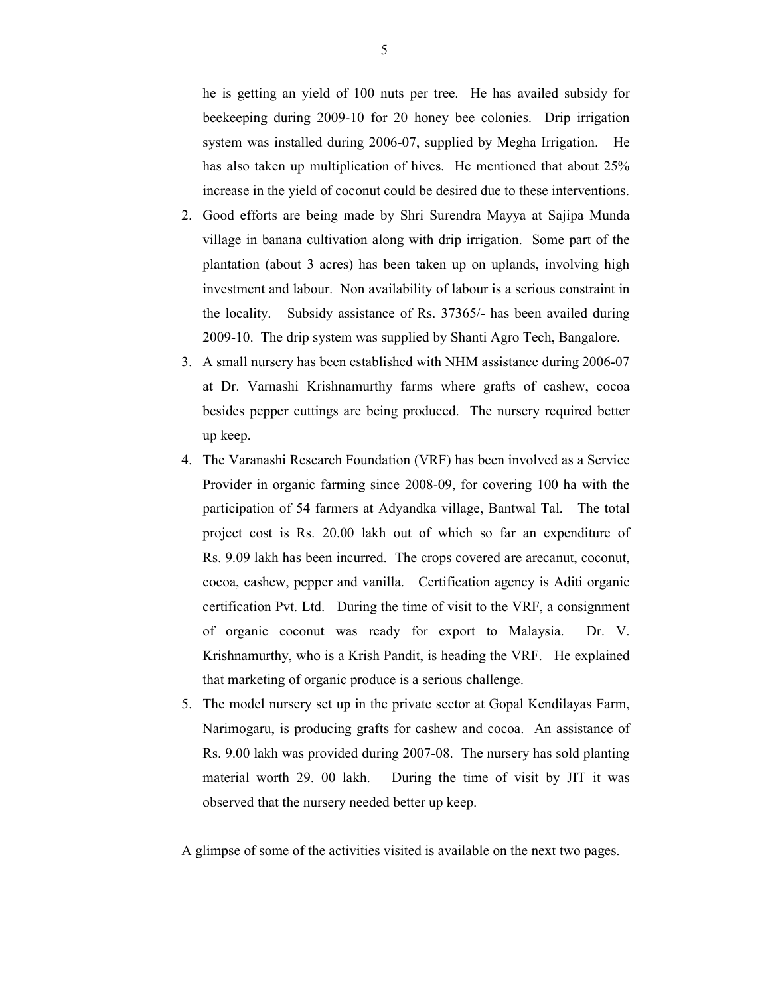he is getting an yield of 100 nuts per tree. He has availed subsidy for beekeeping during 2009-10 for 20 honey bee colonies. Drip irrigation system was installed during 2006-07, supplied by Megha Irrigation. He has also taken up multiplication of hives. He mentioned that about 25% increase in the yield of coconut could be desired due to these interventions.

- 2. Good efforts are being made by Shri Surendra Mayya at Sajipa Munda village in banana cultivation along with drip irrigation. Some part of the plantation (about 3 acres) has been taken up on uplands, involving high investment and labour. Non availability of labour is a serious constraint in the locality. Subsidy assistance of Rs. 37365/- has been availed during 2009-10. The drip system was supplied by Shanti Agro Tech, Bangalore.
- 3. A small nursery has been established with NHM assistance during 2006-07 at Dr. Varnashi Krishnamurthy farms where grafts of cashew, cocoa besides pepper cuttings are being produced. The nursery required better up keep.
- 4. The Varanashi Research Foundation (VRF) has been involved as a Service Provider in organic farming since 2008-09, for covering 100 ha with the participation of 54 farmers at Adyandka village, Bantwal Tal. The total project cost is Rs. 20.00 lakh out of which so far an expenditure of Rs. 9.09 lakh has been incurred. The crops covered are arecanut, coconut, cocoa, cashew, pepper and vanilla. Certification agency is Aditi organic certification Pvt. Ltd. During the time of visit to the VRF, a consignment of organic coconut was ready for export to Malaysia. Dr. V. Krishnamurthy, who is a Krish Pandit, is heading the VRF. He explained that marketing of organic produce is a serious challenge.
- 5. The model nursery set up in the private sector at Gopal Kendilayas Farm, Narimogaru, is producing grafts for cashew and cocoa. An assistance of Rs. 9.00 lakh was provided during 2007-08. The nursery has sold planting material worth 29. 00 lakh. During the time of visit by JIT it was observed that the nursery needed better up keep.
- A glimpse of some of the activities visited is available on the next two pages.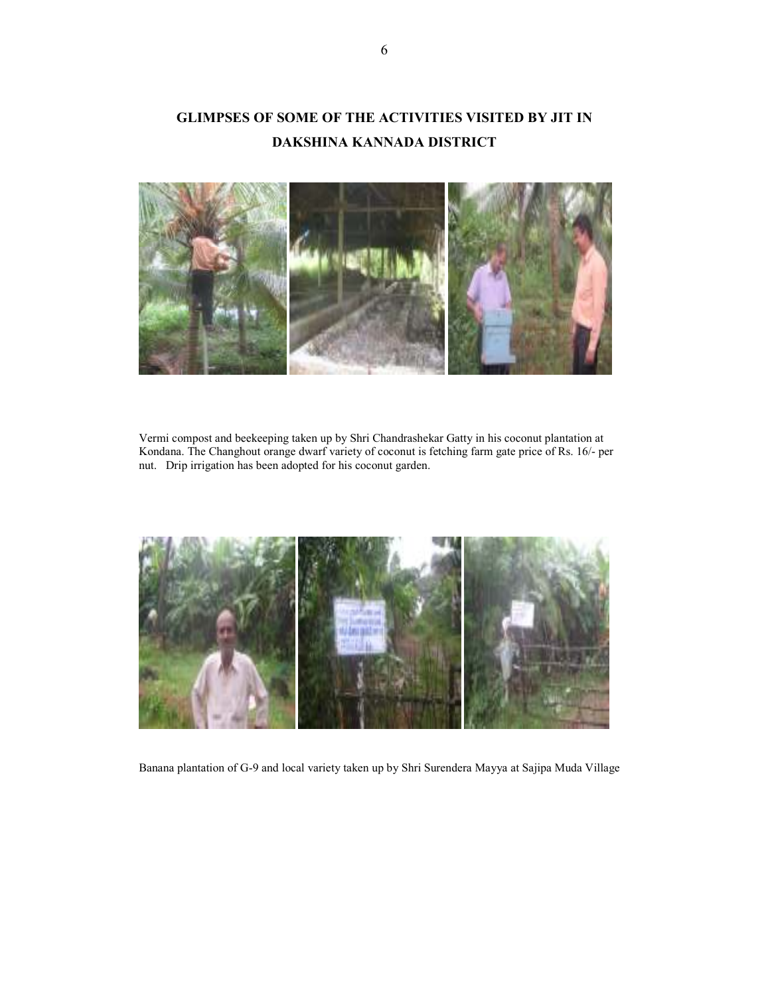# GLIMPSES OF SOME OF THE ACTIVITIES VISITED BY JIT IN DAKSHINA KANNADA DISTRICT



Vermi compost and beekeeping taken up by Shri Chandrashekar Gatty in his coconut plantation at Kondana. The Changhout orange dwarf variety of coconut is fetching farm gate price of Rs. 16/- per nut. Drip irrigation has been adopted for his coconut garden.



Banana plantation of G-9 and local variety taken up by Shri Surendera Mayya at Sajipa Muda Village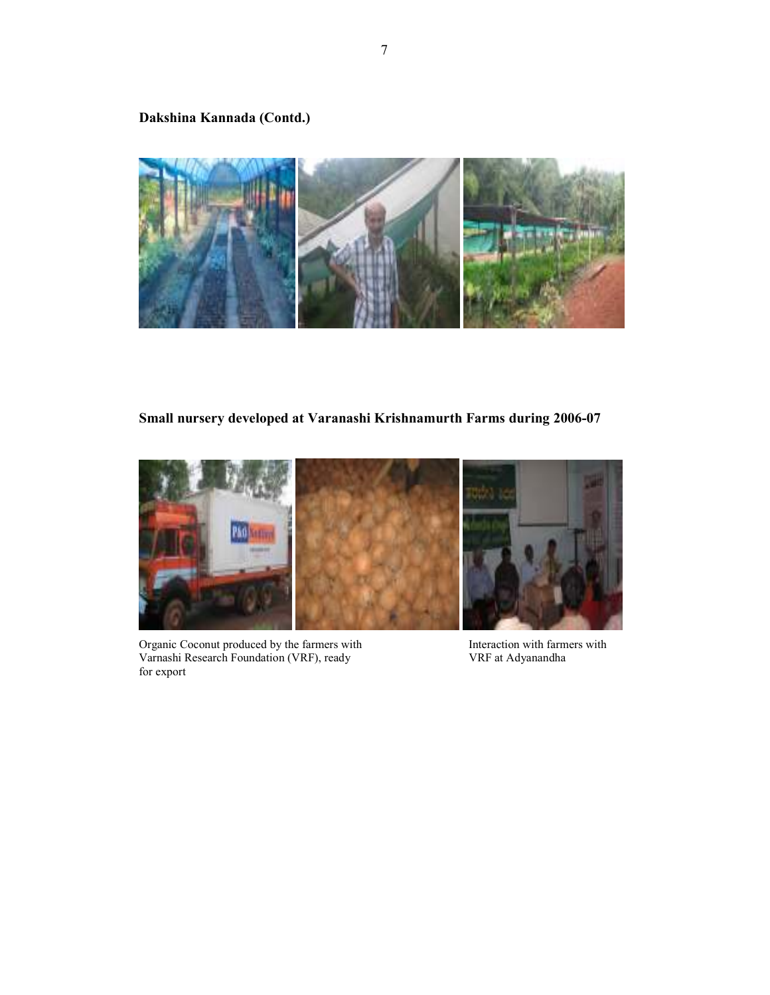## Dakshina Kannada (Contd.)



## Small nursery developed at Varanashi Krishnamurth Farms during 2006-07



Organic Coconut produced by the farmers with Interaction with farmers with Varnashi Research Foundation (VRF), ready VRF at Adyanandha Varnashi Research Foundation (VRF), ready for export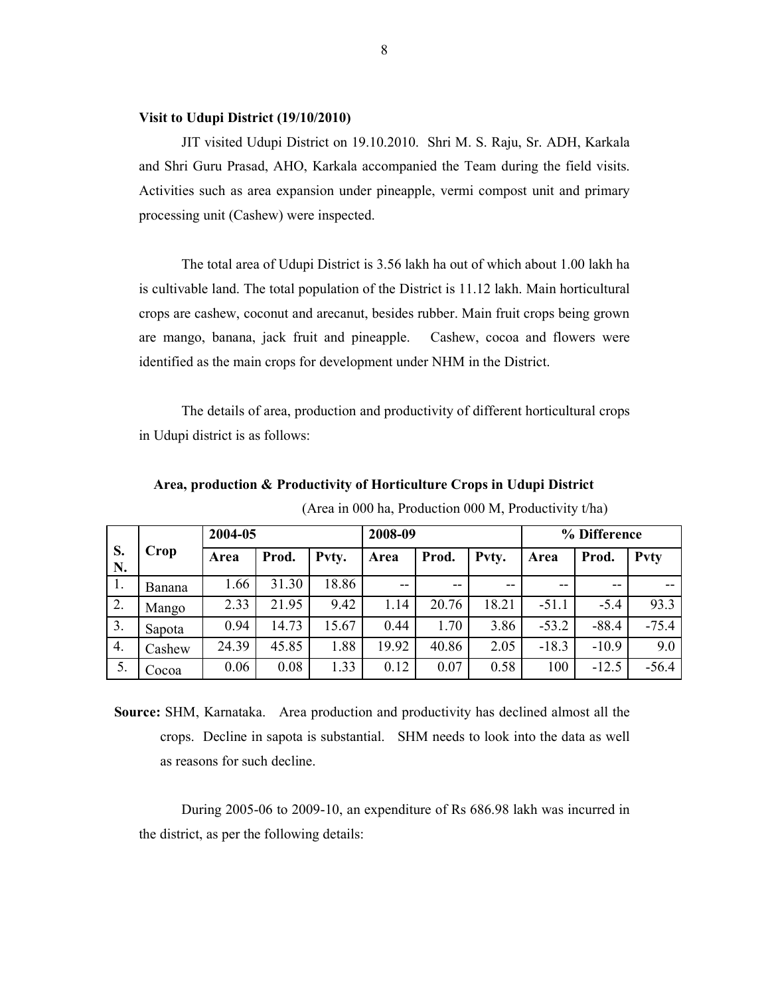### Visit to Udupi District (19/10/2010)

JIT visited Udupi District on 19.10.2010. Shri M. S. Raju, Sr. ADH, Karkala and Shri Guru Prasad, AHO, Karkala accompanied the Team during the field visits. Activities such as area expansion under pineapple, vermi compost unit and primary processing unit (Cashew) were inspected.

 The total area of Udupi District is 3.56 lakh ha out of which about 1.00 lakh ha is cultivable land. The total population of the District is 11.12 lakh. Main horticultural crops are cashew, coconut and arecanut, besides rubber. Main fruit crops being grown are mango, banana, jack fruit and pineapple. Cashew, cocoa and flowers were identified as the main crops for development under NHM in the District.

The details of area, production and productivity of different horticultural crops in Udupi district is as follows:

|          | Crop   | 2004-05 |       |       | 2008-09 |       |       | % Difference |         |         |
|----------|--------|---------|-------|-------|---------|-------|-------|--------------|---------|---------|
| S.<br>N. |        | Area    | Prod. | Pvty. | Area    | Prod. | Pvty. | Area         | Prod.   | Pvty    |
| Ι.       | Banana | 1.66    | 31.30 | 18.86 | $- -$   | $- -$ | $-$   | $- -$        | $- -$   |         |
| 2.       | Mango  | 2.33    | 21.95 | 9.42  | .14     | 20.76 | 18.21 | $-51.1$      | $-5.4$  | 93.3    |
| 3.       | Sapota | 0.94    | 14.73 | 15.67 | 0.44    | 1.70  | 3.86  | $-53.2$      | $-88.4$ | $-75.4$ |
| 4.       | Cashew | 24.39   | 45.85 | 1.88  | 19.92   | 40.86 | 2.05  | $-18.3$      | $-10.9$ | 9.0     |
| 5.       | Cocoa  | 0.06    | 0.08  | 1.33  | 0.12    | 0.07  | 0.58  | 100          | $-12.5$ | $-56.4$ |

Area, production & Productivity of Horticulture Crops in Udupi District

(Area in 000 ha, Production 000 M, Productivity t/ha)

 Source: SHM, Karnataka. Area production and productivity has declined almost all the crops. Decline in sapota is substantial. SHM needs to look into the data as well as reasons for such decline.

 During 2005-06 to 2009-10, an expenditure of Rs 686.98 lakh was incurred in the district, as per the following details: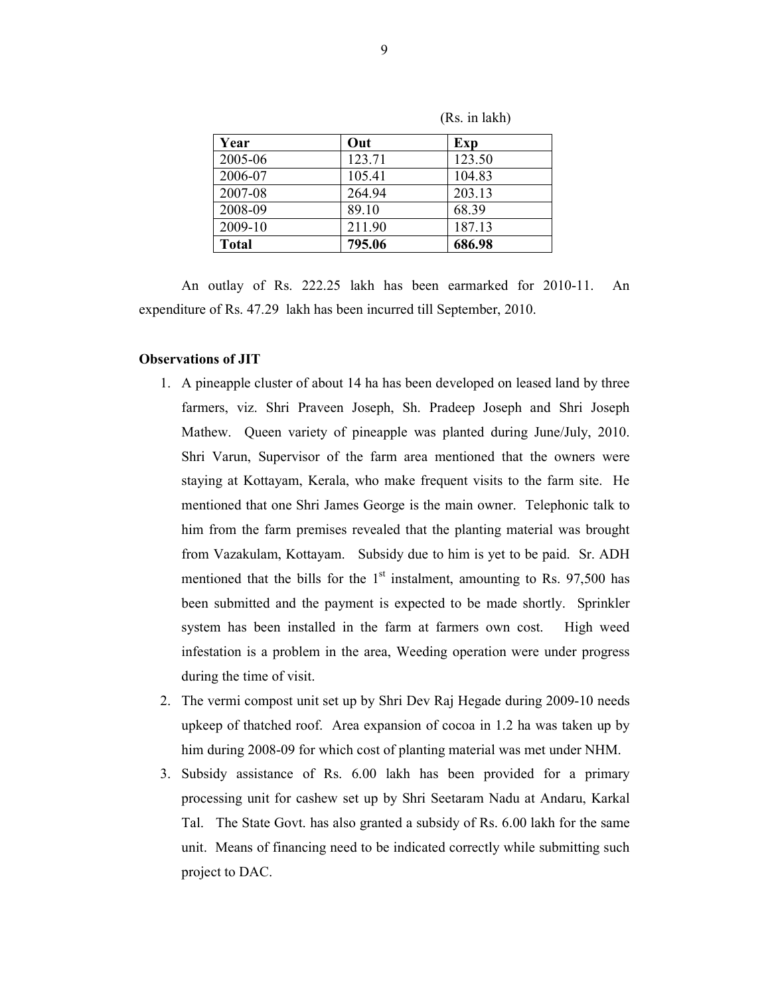| Year         | Out    | Exp    |  |
|--------------|--------|--------|--|
| 2005-06      | 123.71 | 123.50 |  |
| 2006-07      | 105.41 | 104.83 |  |
| 2007-08      | 264 94 | 203.13 |  |
| 2008-09      | 89.10  | 68.39  |  |
| 2009-10      | 211.90 | 187.13 |  |
| <b>Total</b> | 795.06 | 686.98 |  |

(Rs. in lakh)

An outlay of Rs. 222.25 lakh has been earmarked for 2010-11. An expenditure of Rs. 47.29 lakh has been incurred till September, 2010.

### Observations of JIT

- 1. A pineapple cluster of about 14 ha has been developed on leased land by three farmers, viz. Shri Praveen Joseph, Sh. Pradeep Joseph and Shri Joseph Mathew. Queen variety of pineapple was planted during June/July, 2010. Shri Varun, Supervisor of the farm area mentioned that the owners were staying at Kottayam, Kerala, who make frequent visits to the farm site. He mentioned that one Shri James George is the main owner. Telephonic talk to him from the farm premises revealed that the planting material was brought from Vazakulam, Kottayam. Subsidy due to him is yet to be paid. Sr. ADH mentioned that the bills for the  $1<sup>st</sup>$  instalment, amounting to Rs. 97,500 has been submitted and the payment is expected to be made shortly. Sprinkler system has been installed in the farm at farmers own cost. High weed infestation is a problem in the area, Weeding operation were under progress during the time of visit.
- 2. The vermi compost unit set up by Shri Dev Raj Hegade during 2009-10 needs upkeep of thatched roof. Area expansion of cocoa in 1.2 ha was taken up by him during 2008-09 for which cost of planting material was met under NHM.
- 3. Subsidy assistance of Rs. 6.00 lakh has been provided for a primary processing unit for cashew set up by Shri Seetaram Nadu at Andaru, Karkal Tal. The State Govt. has also granted a subsidy of Rs. 6.00 lakh for the same unit. Means of financing need to be indicated correctly while submitting such project to DAC.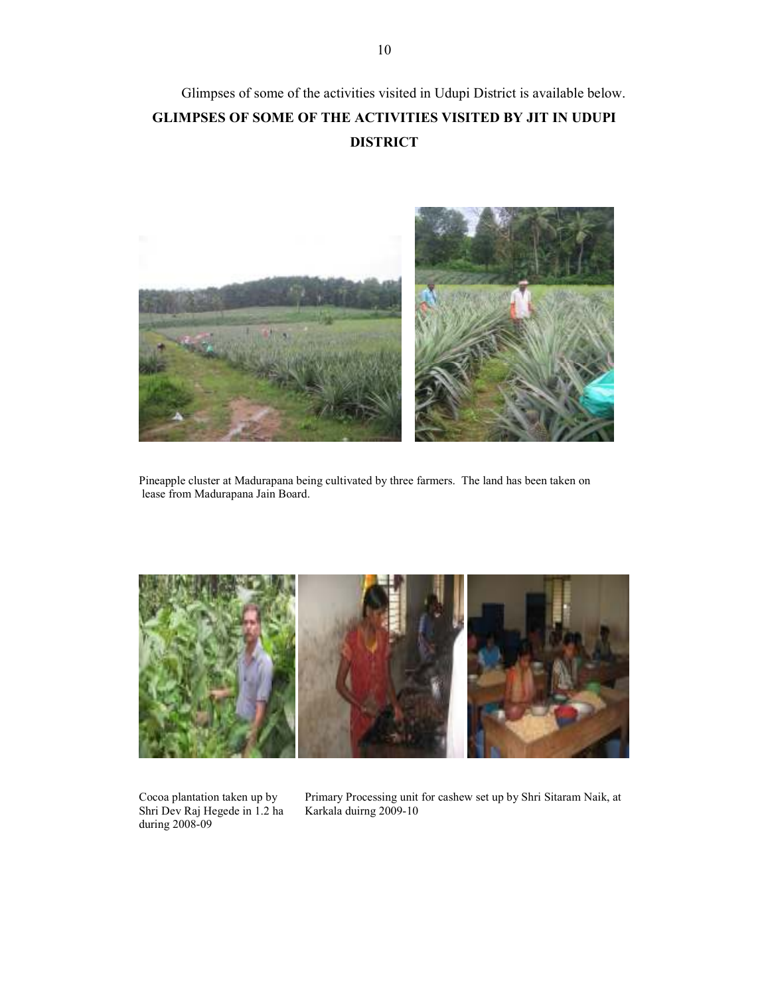# Glimpses of some of the activities visited in Udupi District is available below. GLIMPSES OF SOME OF THE ACTIVITIES VISITED BY JIT IN UDUPI DISTRICT



Pineapple cluster at Madurapana being cultivated by three farmers. The land has been taken on lease from Madurapana Jain Board.



Cocoa plantation taken up by Shri Dev Raj Hegede in 1.2 ha during 2008-09

Primary Processing unit for cashew set up by Shri Sitaram Naik, at Karkala duirng 2009-10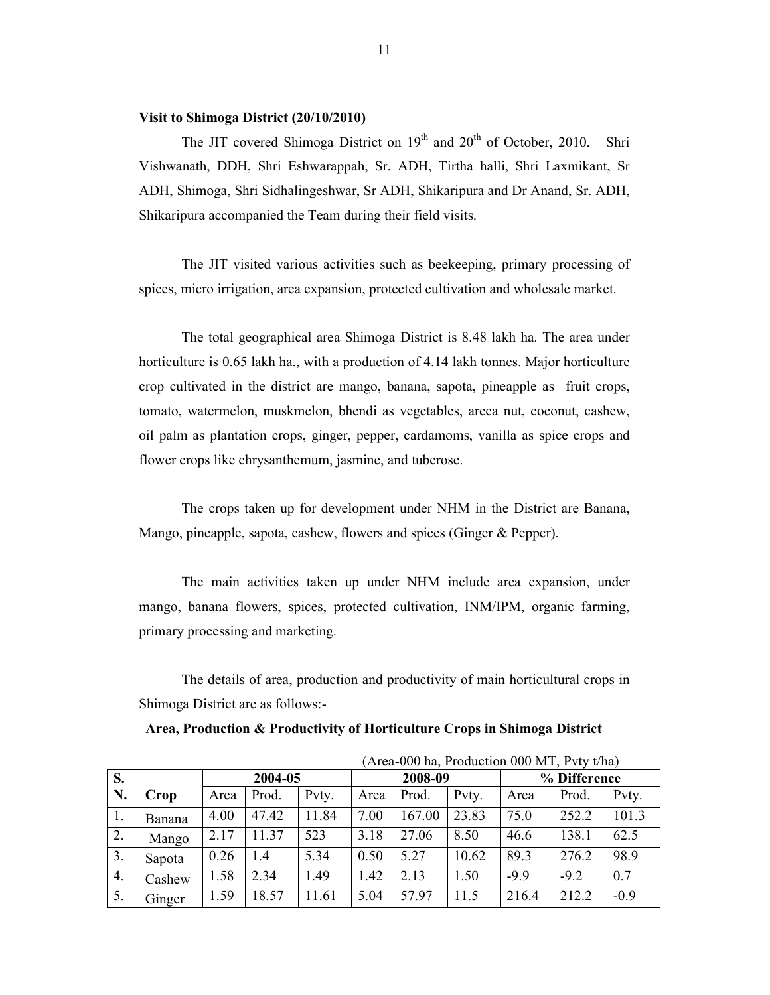### Visit to Shimoga District (20/10/2010)

The JIT covered Shimoga District on  $19<sup>th</sup>$  and  $20<sup>th</sup>$  of October, 2010. Shri Vishwanath, DDH, Shri Eshwarappah, Sr. ADH, Tirtha halli, Shri Laxmikant, Sr ADH, Shimoga, Shri Sidhalingeshwar, Sr ADH, Shikaripura and Dr Anand, Sr. ADH, Shikaripura accompanied the Team during their field visits.

 The JIT visited various activities such as beekeeping, primary processing of spices, micro irrigation, area expansion, protected cultivation and wholesale market.

The total geographical area Shimoga District is 8.48 lakh ha. The area under horticulture is 0.65 lakh ha., with a production of 4.14 lakh tonnes. Major horticulture crop cultivated in the district are mango, banana, sapota, pineapple as fruit crops, tomato, watermelon, muskmelon, bhendi as vegetables, areca nut, coconut, cashew, oil palm as plantation crops, ginger, pepper, cardamoms, vanilla as spice crops and flower crops like chrysanthemum, jasmine, and tuberose.

The crops taken up for development under NHM in the District are Banana, Mango, pineapple, sapota, cashew, flowers and spices (Ginger & Pepper).

 The main activities taken up under NHM include area expansion, under mango, banana flowers, spices, protected cultivation, INM/IPM, organic farming, primary processing and marketing.

The details of area, production and productivity of main horticultural crops in Shimoga District are as follows:-

Area, Production & Productivity of Horticulture Crops in Shimoga District

|    |        |         |       |       | (Area-000 ha, Production 000 MT, Pvty t/ha) |         |       |        |              |        |  |
|----|--------|---------|-------|-------|---------------------------------------------|---------|-------|--------|--------------|--------|--|
| S. |        | 2004-05 |       |       |                                             | 2008-09 |       |        | % Difference |        |  |
| N. | Crop   | Area    | Prod. | Pvty. | Area                                        | Prod.   | Pvty. | Area   | Prod.        | Pvty.  |  |
| 1. | Banana | 4.00    | 47.42 | 11.84 | 7.00                                        | 167.00  | 23.83 | 75.0   | 252.2        | 101.3  |  |
| 2. | Mango  | 2.17    | 11.37 | 523   | 3.18                                        | 27.06   | 8.50  | 46.6   | 138.1        | 62.5   |  |
| 3. | Sapota | 0.26    | 1.4   | 5.34  | 0.50                                        | 5.27    | 10.62 | 89.3   | 276.2        | 98.9   |  |
| 4. | Cashew | 1.58    | 2.34  | 1.49  | 1.42                                        | 2.13    | 1.50  | $-9.9$ | $-9.2$       | 0.7    |  |
| 5. | Ginger | 1.59    | 18.57 | 11.61 | 5.04                                        | 57.97   | 11.5  | 216.4  | 212.2        | $-0.9$ |  |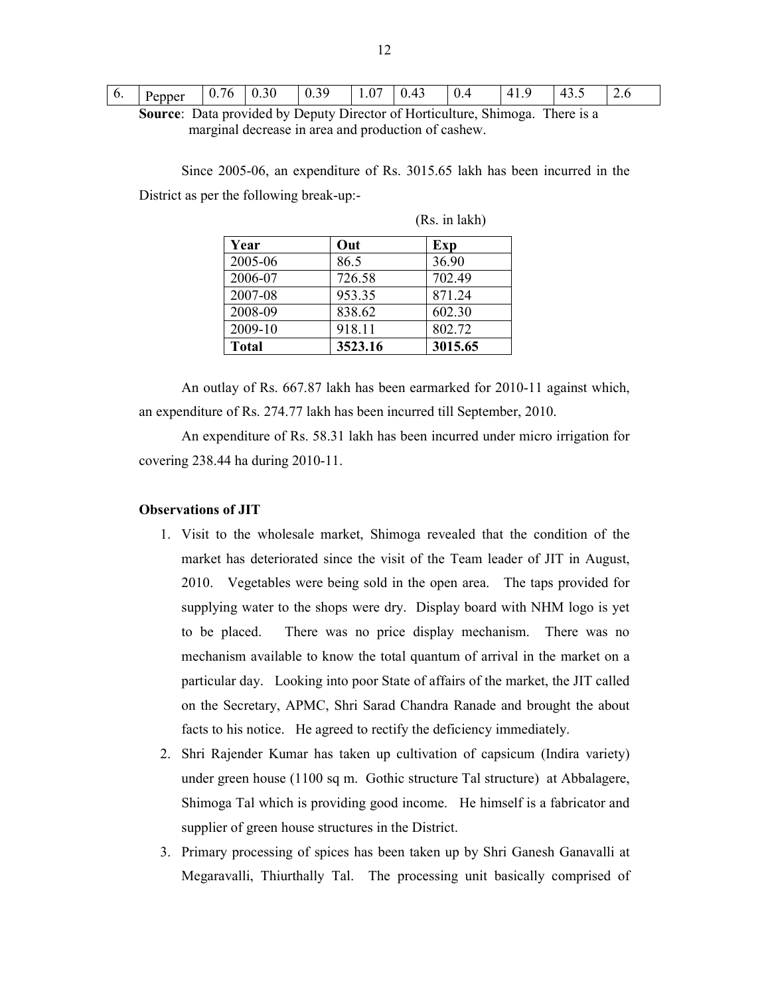| $\sim$ $-$<br>$\sim$<br>0.30<br>$\sim$<br>r<br>$\Lambda$<br>$\sqrt{ }$<br>0.<br>'n<br>.<br>. .<br>. .<br>. .<br>Pepper<br>V. T.J<br>$U -$<br>ັບ<br>_<br>1.V<br>v.<br>. 。 <i>。</i><br>$\mathsf{v}$ . $\mathsf{v}$<br>.<br>. . | ∽<br>$\sim$ |
|------------------------------------------------------------------------------------------------------------------------------------------------------------------------------------------------------------------------------|-------------|
|------------------------------------------------------------------------------------------------------------------------------------------------------------------------------------------------------------------------------|-------------|

Source: Data provided by Deputy Director of Horticulture, Shimoga. There is a marginal decrease in area and production of cashew.

Since 2005-06, an expenditure of Rs. 3015.65 lakh has been incurred in the District as per the following break-up:-

| Year         | Out     | Exp     |
|--------------|---------|---------|
| 2005-06      | 86.5    | 36.90   |
| 2006-07      | 726.58  | 702.49  |
| 2007-08      | 953.35  | 871.24  |
| 2008-09      | 838.62  | 602.30  |
| 2009-10      | 918.11  | 802.72  |
| <b>Total</b> | 3523.16 | 3015.65 |

(Rs. in lakh)

An outlay of Rs. 667.87 lakh has been earmarked for 2010-11 against which, an expenditure of Rs. 274.77 lakh has been incurred till September, 2010.

An expenditure of Rs. 58.31 lakh has been incurred under micro irrigation for covering 238.44 ha during 2010-11.

#### Observations of JIT

- 1. Visit to the wholesale market, Shimoga revealed that the condition of the market has deteriorated since the visit of the Team leader of JIT in August, 2010. Vegetables were being sold in the open area. The taps provided for supplying water to the shops were dry. Display board with NHM logo is yet to be placed. There was no price display mechanism. There was no mechanism available to know the total quantum of arrival in the market on a particular day. Looking into poor State of affairs of the market, the JIT called on the Secretary, APMC, Shri Sarad Chandra Ranade and brought the about facts to his notice. He agreed to rectify the deficiency immediately.
- 2. Shri Rajender Kumar has taken up cultivation of capsicum (Indira variety) under green house (1100 sq m. Gothic structure Tal structure) at Abbalagere, Shimoga Tal which is providing good income. He himself is a fabricator and supplier of green house structures in the District.
- 3. Primary processing of spices has been taken up by Shri Ganesh Ganavalli at Megaravalli, Thiurthally Tal. The processing unit basically comprised of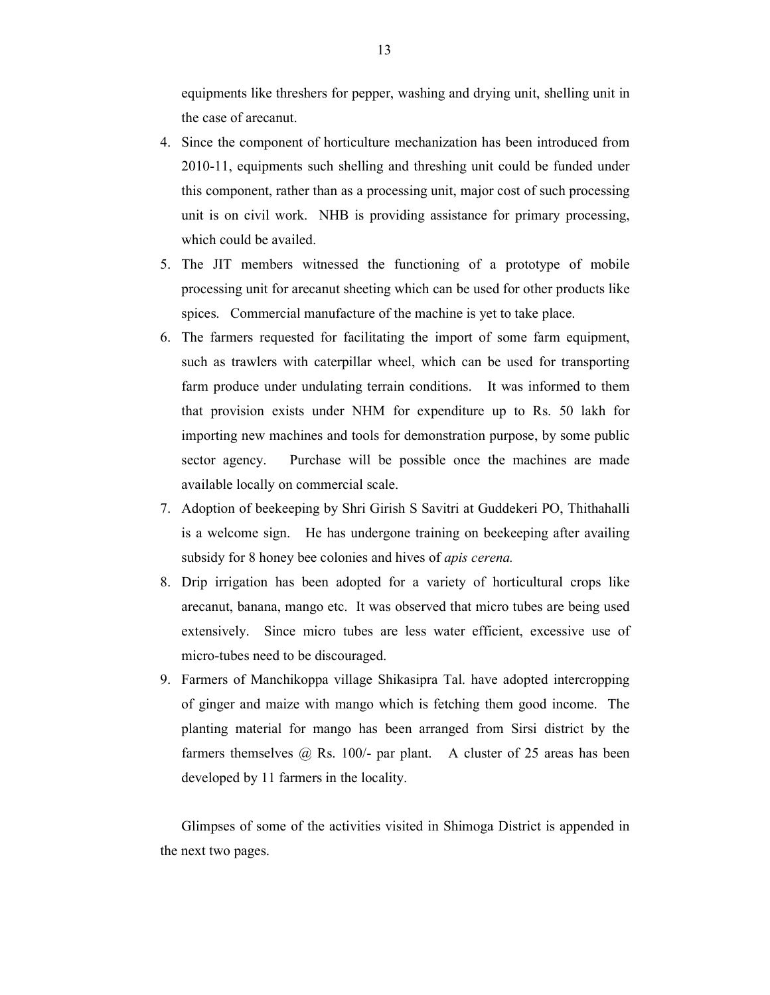equipments like threshers for pepper, washing and drying unit, shelling unit in the case of arecanut.

- 4. Since the component of horticulture mechanization has been introduced from 2010-11, equipments such shelling and threshing unit could be funded under this component, rather than as a processing unit, major cost of such processing unit is on civil work. NHB is providing assistance for primary processing, which could be availed.
- 5. The JIT members witnessed the functioning of a prototype of mobile processing unit for arecanut sheeting which can be used for other products like spices. Commercial manufacture of the machine is yet to take place.
- 6. The farmers requested for facilitating the import of some farm equipment, such as trawlers with caterpillar wheel, which can be used for transporting farm produce under undulating terrain conditions. It was informed to them that provision exists under NHM for expenditure up to Rs. 50 lakh for importing new machines and tools for demonstration purpose, by some public sector agency. Purchase will be possible once the machines are made available locally on commercial scale.
- 7. Adoption of beekeeping by Shri Girish S Savitri at Guddekeri PO, Thithahalli is a welcome sign. He has undergone training on beekeeping after availing subsidy for 8 honey bee colonies and hives of *apis cerena*.
- 8. Drip irrigation has been adopted for a variety of horticultural crops like arecanut, banana, mango etc. It was observed that micro tubes are being used extensively. Since micro tubes are less water efficient, excessive use of micro-tubes need to be discouraged.
- 9. Farmers of Manchikoppa village Shikasipra Tal. have adopted intercropping of ginger and maize with mango which is fetching them good income. The planting material for mango has been arranged from Sirsi district by the farmers themselves  $\omega$  Rs. 100/- par plant. A cluster of 25 areas has been developed by 11 farmers in the locality.

 Glimpses of some of the activities visited in Shimoga District is appended in the next two pages.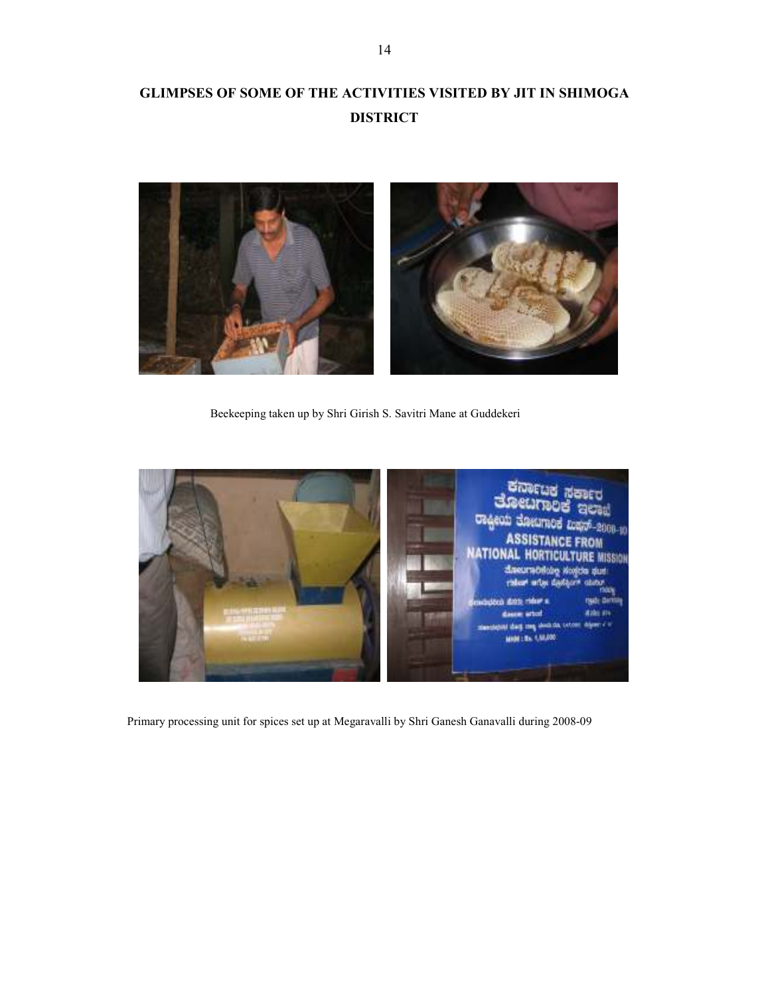# GLIMPSES OF SOME OF THE ACTIVITIES VISITED BY JIT IN SHIMOGA DISTRICT



Beekeeping taken up by Shri Girish S. Savitri Mane at Guddekeri



Primary processing unit for spices set up at Megaravalli by Shri Ganesh Ganavalli during 2008-09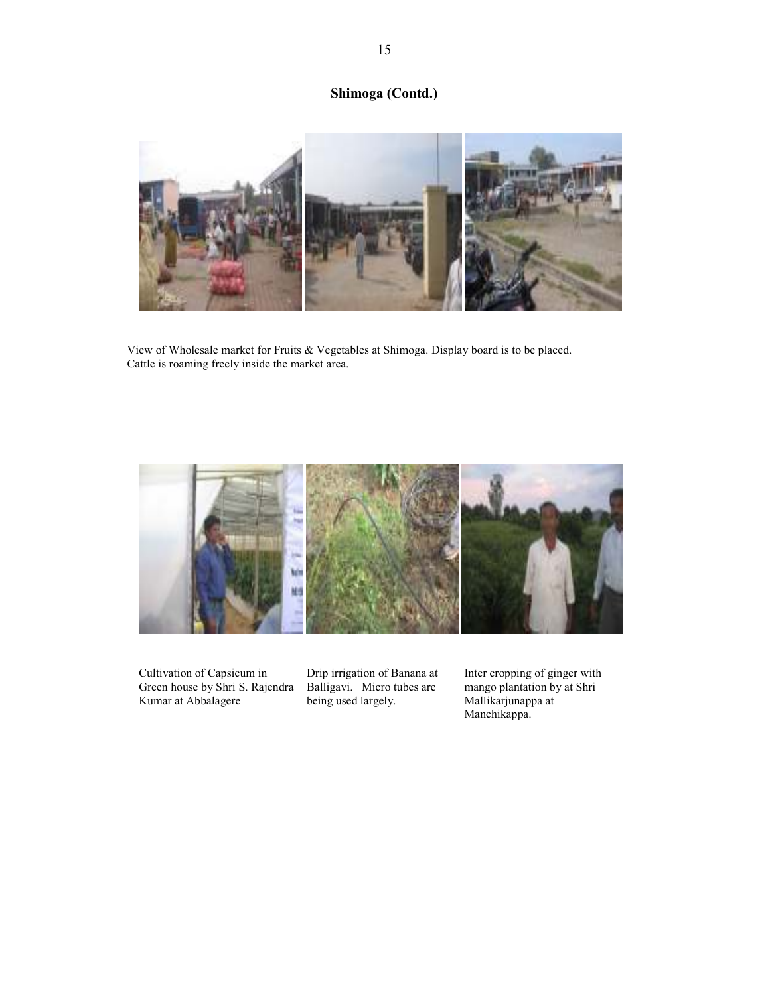## Shimoga (Contd.)



View of Wholesale market for Fruits & Vegetables at Shimoga. Display board is to be placed. Cattle is roaming freely inside the market area.



Cultivation of Capsicum in Green house by Shri S. Rajendra Kumar at Abbalagere

Drip irrigation of Banana at Balligavi. Micro tubes are being used largely.

Inter cropping of ginger with mango plantation by at Shri Mallikarjunappa at Manchikappa.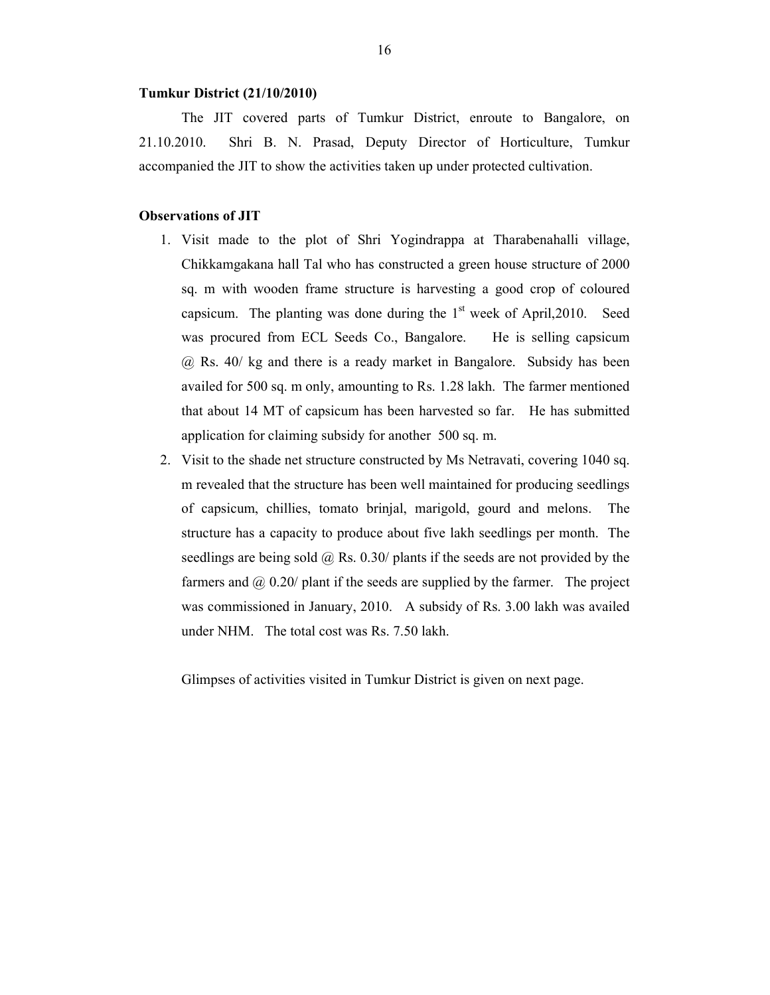#### Tumkur District (21/10/2010)

The JIT covered parts of Tumkur District, enroute to Bangalore, on 21.10.2010. Shri B. N. Prasad, Deputy Director of Horticulture, Tumkur accompanied the JIT to show the activities taken up under protected cultivation.

### Observations of JIT

- 1. Visit made to the plot of Shri Yogindrappa at Tharabenahalli village, Chikkamgakana hall Tal who has constructed a green house structure of 2000 sq. m with wooden frame structure is harvesting a good crop of coloured capsicum. The planting was done during the  $1<sup>st</sup>$  week of April, 2010. Seed was procured from ECL Seeds Co., Bangalore. He is selling capsicum @ Rs. 40/ kg and there is a ready market in Bangalore. Subsidy has been availed for 500 sq. m only, amounting to Rs. 1.28 lakh. The farmer mentioned that about 14 MT of capsicum has been harvested so far. He has submitted application for claiming subsidy for another 500 sq. m.
- 2. Visit to the shade net structure constructed by Ms Netravati, covering 1040 sq. m revealed that the structure has been well maintained for producing seedlings of capsicum, chillies, tomato brinjal, marigold, gourd and melons. The structure has a capacity to produce about five lakh seedlings per month. The seedlings are being sold @ Rs. 0.30/ plants if the seeds are not provided by the farmers and  $\omega$  0.20/ plant if the seeds are supplied by the farmer. The project was commissioned in January, 2010. A subsidy of Rs. 3.00 lakh was availed under NHM. The total cost was Rs. 7.50 lakh.

Glimpses of activities visited in Tumkur District is given on next page.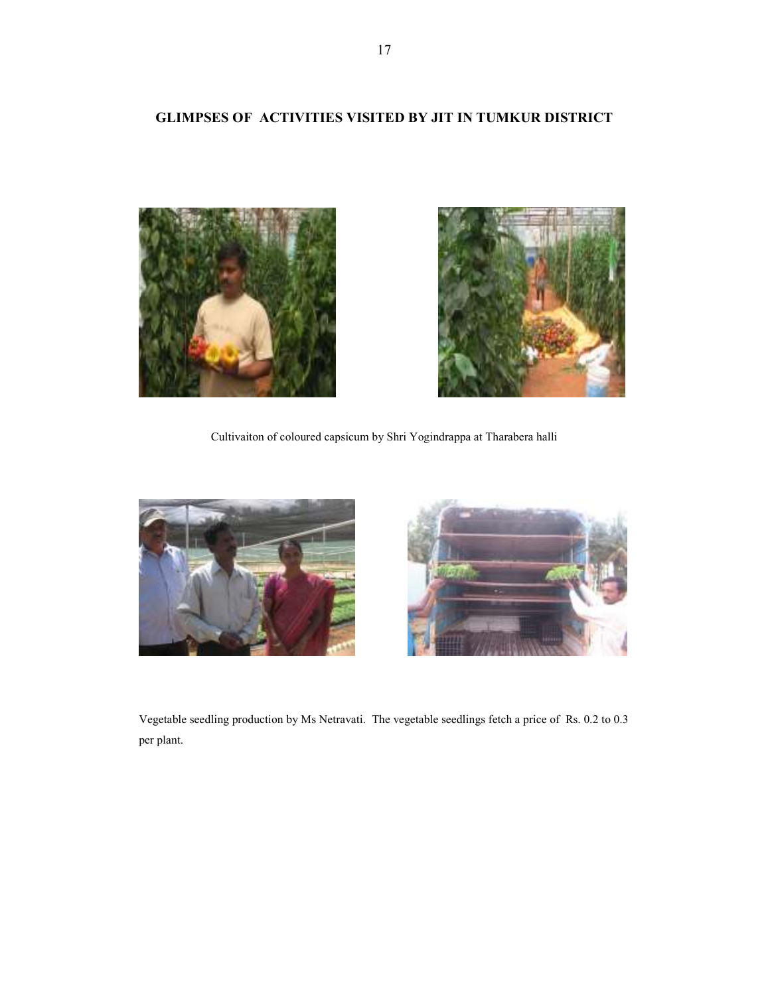## GLIMPSES OF ACTIVITIES VISITED BY JIT IN TUMKUR DISTRICT





Cultivaiton of coloured capsicum by Shri Yogindrappa at Tharabera halli





Vegetable seedling production by Ms Netravati. The vegetable seedlings fetch a price of Rs. 0.2 to 0.3 per plant.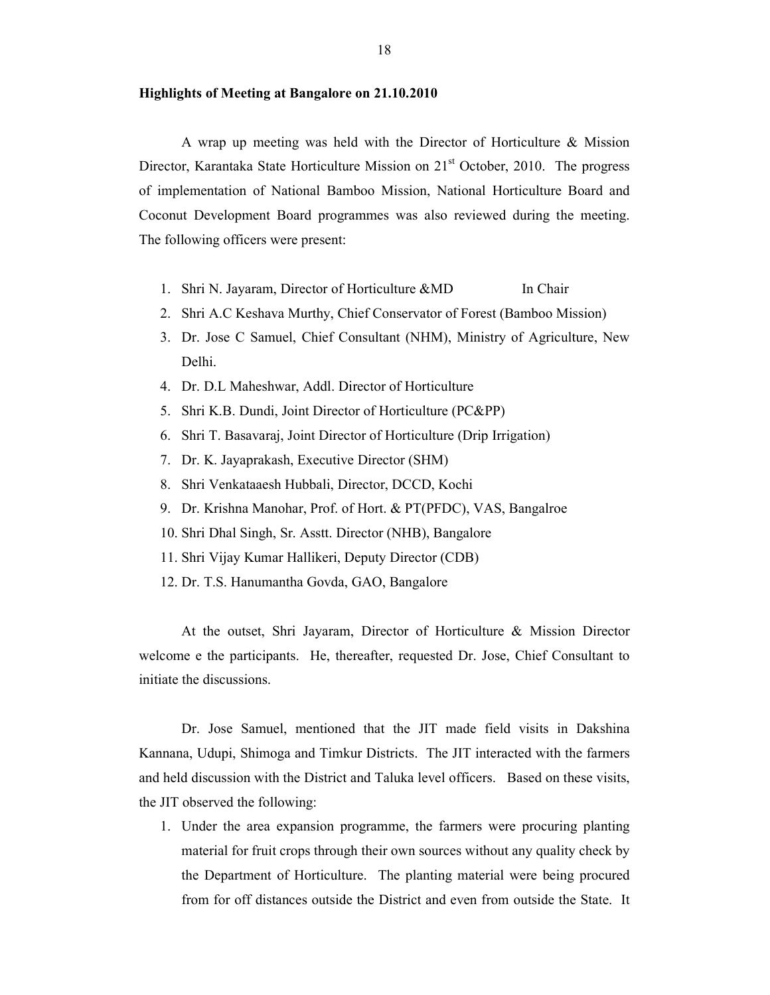#### Highlights of Meeting at Bangalore on 21.10.2010

 A wrap up meeting was held with the Director of Horticulture & Mission Director, Karantaka State Horticulture Mission on 21<sup>st</sup> October, 2010. The progress of implementation of National Bamboo Mission, National Horticulture Board and Coconut Development Board programmes was also reviewed during the meeting. The following officers were present:

- 1. Shri N. Jayaram, Director of Horticulture &MD In Chair
- 2. Shri A.C Keshava Murthy, Chief Conservator of Forest (Bamboo Mission)
- 3. Dr. Jose C Samuel, Chief Consultant (NHM), Ministry of Agriculture, New Delhi.
- 4. Dr. D.L Maheshwar, Addl. Director of Horticulture
- 5. Shri K.B. Dundi, Joint Director of Horticulture (PC&PP)
- 6. Shri T. Basavaraj, Joint Director of Horticulture (Drip Irrigation)
- 7. Dr. K. Jayaprakash, Executive Director (SHM)
- 8. Shri Venkataaesh Hubbali, Director, DCCD, Kochi
- 9. Dr. Krishna Manohar, Prof. of Hort. & PT(PFDC), VAS, Bangalroe
- 10. Shri Dhal Singh, Sr. Asstt. Director (NHB), Bangalore
- 11. Shri Vijay Kumar Hallikeri, Deputy Director (CDB)
- 12. Dr. T.S. Hanumantha Govda, GAO, Bangalore

 At the outset, Shri Jayaram, Director of Horticulture & Mission Director welcome e the participants. He, thereafter, requested Dr. Jose, Chief Consultant to initiate the discussions.

 Dr. Jose Samuel, mentioned that the JIT made field visits in Dakshina Kannana, Udupi, Shimoga and Timkur Districts. The JIT interacted with the farmers and held discussion with the District and Taluka level officers. Based on these visits, the JIT observed the following:

1. Under the area expansion programme, the farmers were procuring planting material for fruit crops through their own sources without any quality check by the Department of Horticulture. The planting material were being procured from for off distances outside the District and even from outside the State. It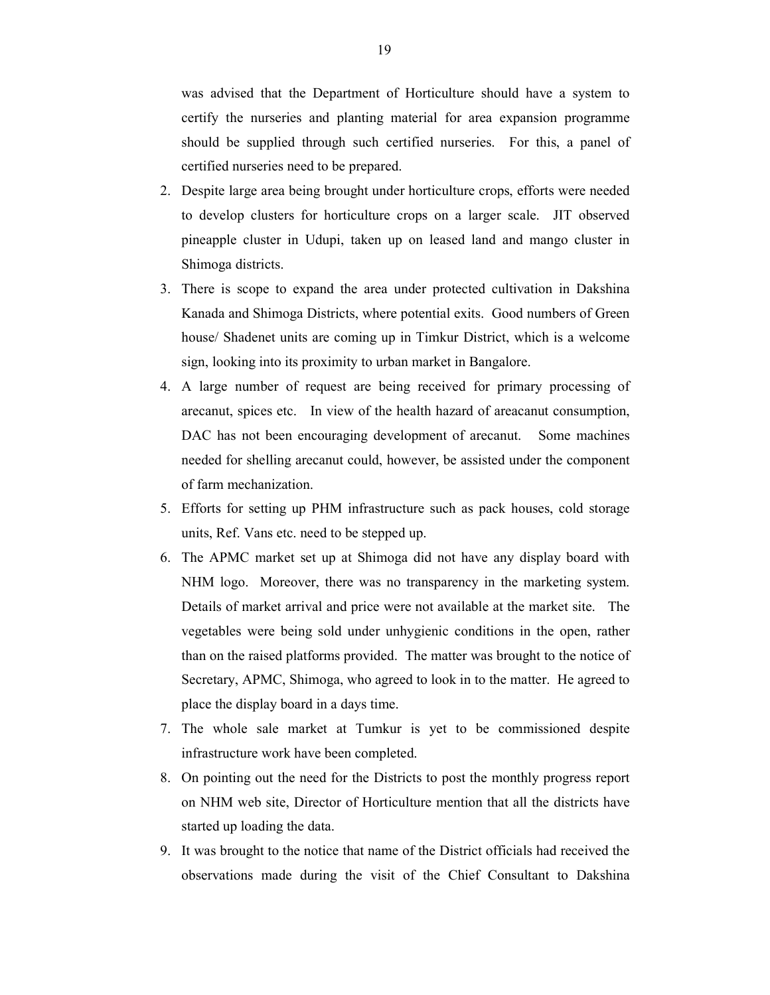was advised that the Department of Horticulture should have a system to certify the nurseries and planting material for area expansion programme should be supplied through such certified nurseries. For this, a panel of certified nurseries need to be prepared.

- 2. Despite large area being brought under horticulture crops, efforts were needed to develop clusters for horticulture crops on a larger scale. JIT observed pineapple cluster in Udupi, taken up on leased land and mango cluster in Shimoga districts.
- 3. There is scope to expand the area under protected cultivation in Dakshina Kanada and Shimoga Districts, where potential exits. Good numbers of Green house/ Shadenet units are coming up in Timkur District, which is a welcome sign, looking into its proximity to urban market in Bangalore.
- 4. A large number of request are being received for primary processing of arecanut, spices etc. In view of the health hazard of areacanut consumption, DAC has not been encouraging development of arecanut. Some machines needed for shelling arecanut could, however, be assisted under the component of farm mechanization.
- 5. Efforts for setting up PHM infrastructure such as pack houses, cold storage units, Ref. Vans etc. need to be stepped up.
- 6. The APMC market set up at Shimoga did not have any display board with NHM logo. Moreover, there was no transparency in the marketing system. Details of market arrival and price were not available at the market site. The vegetables were being sold under unhygienic conditions in the open, rather than on the raised platforms provided. The matter was brought to the notice of Secretary, APMC, Shimoga, who agreed to look in to the matter. He agreed to place the display board in a days time.
- 7. The whole sale market at Tumkur is yet to be commissioned despite infrastructure work have been completed.
- 8. On pointing out the need for the Districts to post the monthly progress report on NHM web site, Director of Horticulture mention that all the districts have started up loading the data.
- 9. It was brought to the notice that name of the District officials had received the observations made during the visit of the Chief Consultant to Dakshina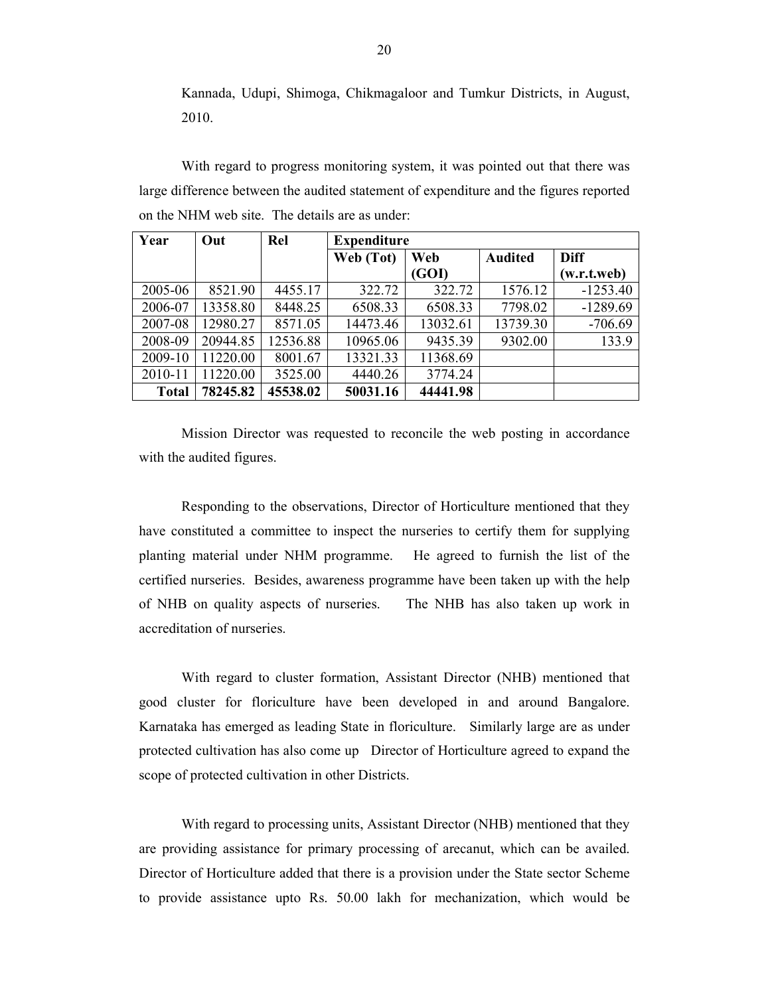Kannada, Udupi, Shimoga, Chikmagaloor and Tumkur Districts, in August, 2010.

 With regard to progress monitoring system, it was pointed out that there was large difference between the audited statement of expenditure and the figures reported on the NHM web site. The details are as under:

| Year    | Out      | Rel      | <b>Expenditure</b> |          |                |             |  |  |
|---------|----------|----------|--------------------|----------|----------------|-------------|--|--|
|         |          |          | Web (Tot)          | Web      | <b>Audited</b> | <b>Diff</b> |  |  |
|         |          |          |                    | (GOI)    |                | (w.r.t.web) |  |  |
| 2005-06 | 8521.90  | 4455.17  | 322.72             | 322.72   | 1576.12        | $-1253.40$  |  |  |
| 2006-07 | 13358.80 | 8448.25  | 6508.33            | 6508.33  | 7798.02        | $-1289.69$  |  |  |
| 2007-08 | 12980.27 | 8571.05  | 14473.46           | 13032.61 | 13739.30       | $-706.69$   |  |  |
| 2008-09 | 20944.85 | 12536.88 | 10965.06           | 9435.39  | 9302.00        | 133.9       |  |  |
| 2009-10 | 11220.00 | 8001.67  | 13321.33           | 11368.69 |                |             |  |  |
| 2010-11 | 11220.00 | 3525.00  | 4440.26            | 3774.24  |                |             |  |  |
| Total   | 78245.82 | 45538.02 | 50031.16           | 44441.98 |                |             |  |  |

 Mission Director was requested to reconcile the web posting in accordance with the audited figures.

 Responding to the observations, Director of Horticulture mentioned that they have constituted a committee to inspect the nurseries to certify them for supplying planting material under NHM programme. He agreed to furnish the list of the certified nurseries. Besides, awareness programme have been taken up with the help of NHB on quality aspects of nurseries. The NHB has also taken up work in accreditation of nurseries.

 With regard to cluster formation, Assistant Director (NHB) mentioned that good cluster for floriculture have been developed in and around Bangalore. Karnataka has emerged as leading State in floriculture. Similarly large are as under protected cultivation has also come up Director of Horticulture agreed to expand the scope of protected cultivation in other Districts.

 With regard to processing units, Assistant Director (NHB) mentioned that they are providing assistance for primary processing of arecanut, which can be availed. Director of Horticulture added that there is a provision under the State sector Scheme to provide assistance upto Rs. 50.00 lakh for mechanization, which would be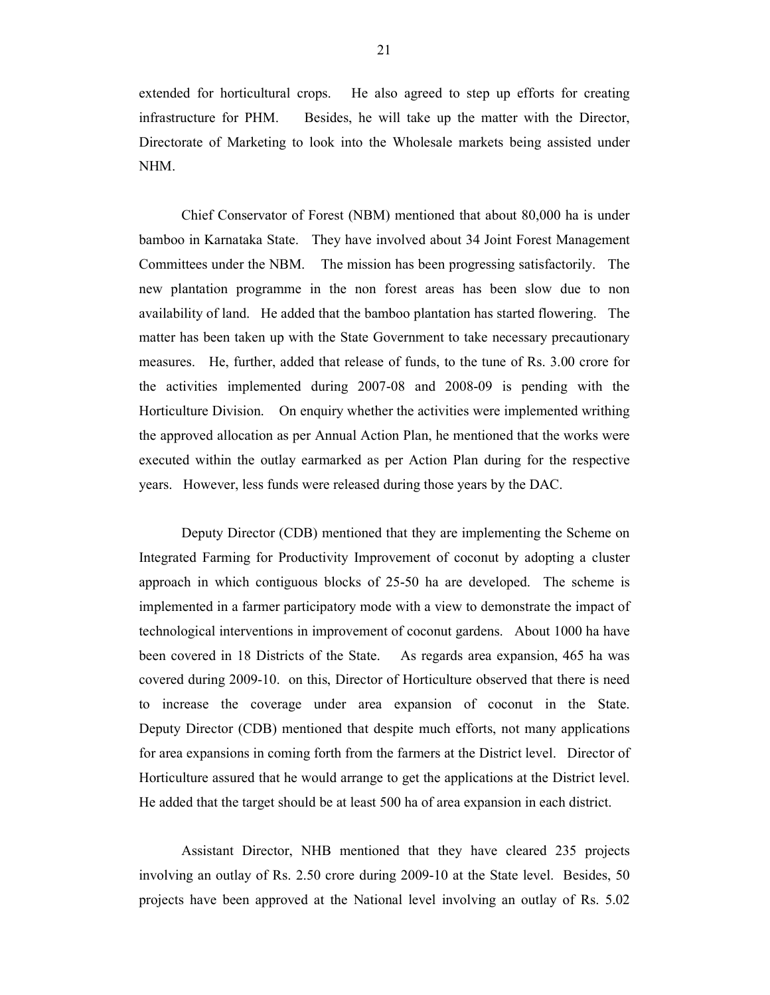extended for horticultural crops. He also agreed to step up efforts for creating infrastructure for PHM. Besides, he will take up the matter with the Director, Directorate of Marketing to look into the Wholesale markets being assisted under NHM.

 Chief Conservator of Forest (NBM) mentioned that about 80,000 ha is under bamboo in Karnataka State. They have involved about 34 Joint Forest Management Committees under the NBM. The mission has been progressing satisfactorily. The new plantation programme in the non forest areas has been slow due to non availability of land. He added that the bamboo plantation has started flowering. The matter has been taken up with the State Government to take necessary precautionary measures. He, further, added that release of funds, to the tune of Rs. 3.00 crore for the activities implemented during 2007-08 and 2008-09 is pending with the Horticulture Division. On enquiry whether the activities were implemented writhing the approved allocation as per Annual Action Plan, he mentioned that the works were executed within the outlay earmarked as per Action Plan during for the respective years. However, less funds were released during those years by the DAC.

 Deputy Director (CDB) mentioned that they are implementing the Scheme on Integrated Farming for Productivity Improvement of coconut by adopting a cluster approach in which contiguous blocks of 25-50 ha are developed. The scheme is implemented in a farmer participatory mode with a view to demonstrate the impact of technological interventions in improvement of coconut gardens. About 1000 ha have been covered in 18 Districts of the State. As regards area expansion, 465 ha was covered during 2009-10. on this, Director of Horticulture observed that there is need to increase the coverage under area expansion of coconut in the State. Deputy Director (CDB) mentioned that despite much efforts, not many applications for area expansions in coming forth from the farmers at the District level. Director of Horticulture assured that he would arrange to get the applications at the District level. He added that the target should be at least 500 ha of area expansion in each district.

 Assistant Director, NHB mentioned that they have cleared 235 projects involving an outlay of Rs. 2.50 crore during 2009-10 at the State level. Besides, 50 projects have been approved at the National level involving an outlay of Rs. 5.02